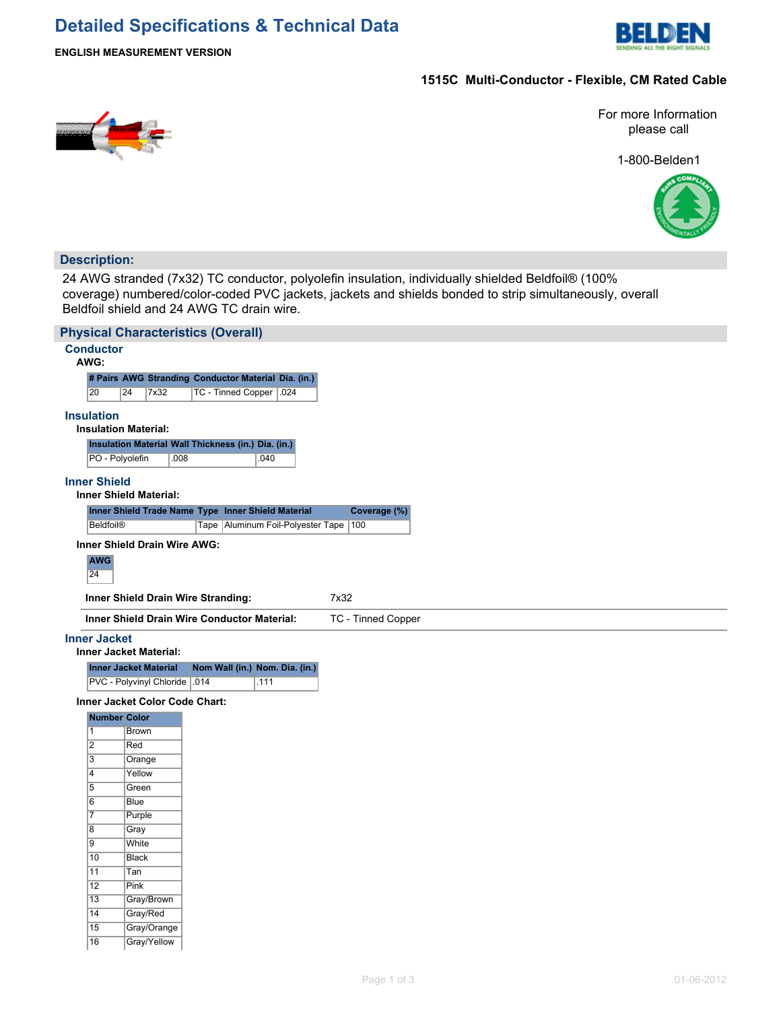# **Detailed Specifications & Technical Data**



**ENGLISH MEASUREMENT VERSION**

## **1515C Multi-Conductor - Flexible, CM Rated Cable**



For more Information please call

1-800-Belden1



### **Description:**

24 AWG stranded (7x32) TC conductor, polyolefin insulation, individually shielded Beldfoil® (100% coverage) numbered/color-coded PVC jackets, jackets and shields bonded to strip simultaneously, overall Beldfoil shield and 24 AWG TC drain wire.

|                                  | <b>Physical Characteristics (Overall)</b>                     |                                                                    |  |  |  |  |  |  |
|----------------------------------|---------------------------------------------------------------|--------------------------------------------------------------------|--|--|--|--|--|--|
|                                  | <b>Conductor</b>                                              |                                                                    |  |  |  |  |  |  |
| AWG:                             |                                                               |                                                                    |  |  |  |  |  |  |
|                                  |                                                               | # Pairs AWG Stranding Conductor Material Dia. (in.)                |  |  |  |  |  |  |
| 20                               | 24<br>7x32                                                    | TC - Tinned Copper   .024                                          |  |  |  |  |  |  |
| <b>Insulation</b>                |                                                               |                                                                    |  |  |  |  |  |  |
|                                  | <b>Insulation Material:</b>                                   |                                                                    |  |  |  |  |  |  |
|                                  |                                                               | Insulation Material Wall Thickness (in.) Dia. (in.)                |  |  |  |  |  |  |
|                                  | PO - Polyolefin<br>.008                                       | .040                                                               |  |  |  |  |  |  |
|                                  |                                                               |                                                                    |  |  |  |  |  |  |
| <b>Inner Shield</b>              | <b>Inner Shield Material:</b>                                 |                                                                    |  |  |  |  |  |  |
|                                  |                                                               | Inner Shield Trade Name Type Inner Shield Material<br>Coverage (%) |  |  |  |  |  |  |
|                                  | <b>Beldfoil®</b>                                              | Tape Aluminum Foil-Polyester Tape<br>100                           |  |  |  |  |  |  |
|                                  |                                                               |                                                                    |  |  |  |  |  |  |
|                                  | Inner Shield Drain Wire AWG:                                  |                                                                    |  |  |  |  |  |  |
| <b>AWG</b>                       |                                                               |                                                                    |  |  |  |  |  |  |
| 24                               |                                                               |                                                                    |  |  |  |  |  |  |
|                                  | Inner Shield Drain Wire Stranding:                            | 7x32                                                               |  |  |  |  |  |  |
|                                  |                                                               | Inner Shield Drain Wire Conductor Material:<br>TC - Tinned Copper  |  |  |  |  |  |  |
|                                  |                                                               |                                                                    |  |  |  |  |  |  |
| <b>Inner Jacket</b>              |                                                               |                                                                    |  |  |  |  |  |  |
|                                  | <b>Inner Jacket Material:</b>                                 |                                                                    |  |  |  |  |  |  |
|                                  | <b>Inner Jacket Material</b><br>PVC - Polyvinyl Chloride .014 | Nom Wall (in.) Nom. Dia. (in.)<br>.111                             |  |  |  |  |  |  |
|                                  |                                                               |                                                                    |  |  |  |  |  |  |
|                                  | Inner Jacket Color Code Chart:                                |                                                                    |  |  |  |  |  |  |
|                                  | <b>Number Color</b>                                           |                                                                    |  |  |  |  |  |  |
| $\overline{1}$                   | <b>Brown</b>                                                  |                                                                    |  |  |  |  |  |  |
| $\overline{2}$                   | Red                                                           |                                                                    |  |  |  |  |  |  |
| $\overline{3}$<br>$\overline{4}$ | Orange<br>Yellow                                              |                                                                    |  |  |  |  |  |  |
| $\overline{5}$                   | Green                                                         |                                                                    |  |  |  |  |  |  |
| $\overline{6}$                   | <b>Blue</b>                                                   |                                                                    |  |  |  |  |  |  |
| $\overline{7}$                   | Purple                                                        |                                                                    |  |  |  |  |  |  |
| $\overline{8}$                   | Gray                                                          |                                                                    |  |  |  |  |  |  |
| $\overline{9}$                   | White                                                         |                                                                    |  |  |  |  |  |  |
| 10                               | <b>Black</b>                                                  |                                                                    |  |  |  |  |  |  |
| 11                               | Tan                                                           |                                                                    |  |  |  |  |  |  |
| $\overline{12}$                  | Pink                                                          |                                                                    |  |  |  |  |  |  |
| $\overline{13}$                  | Gray/Brown                                                    |                                                                    |  |  |  |  |  |  |
| $\overline{14}$                  | Gray/Red                                                      |                                                                    |  |  |  |  |  |  |
| 15                               | Gray/Orange                                                   |                                                                    |  |  |  |  |  |  |
| $\overline{16}$                  | Gray/Yellow                                                   |                                                                    |  |  |  |  |  |  |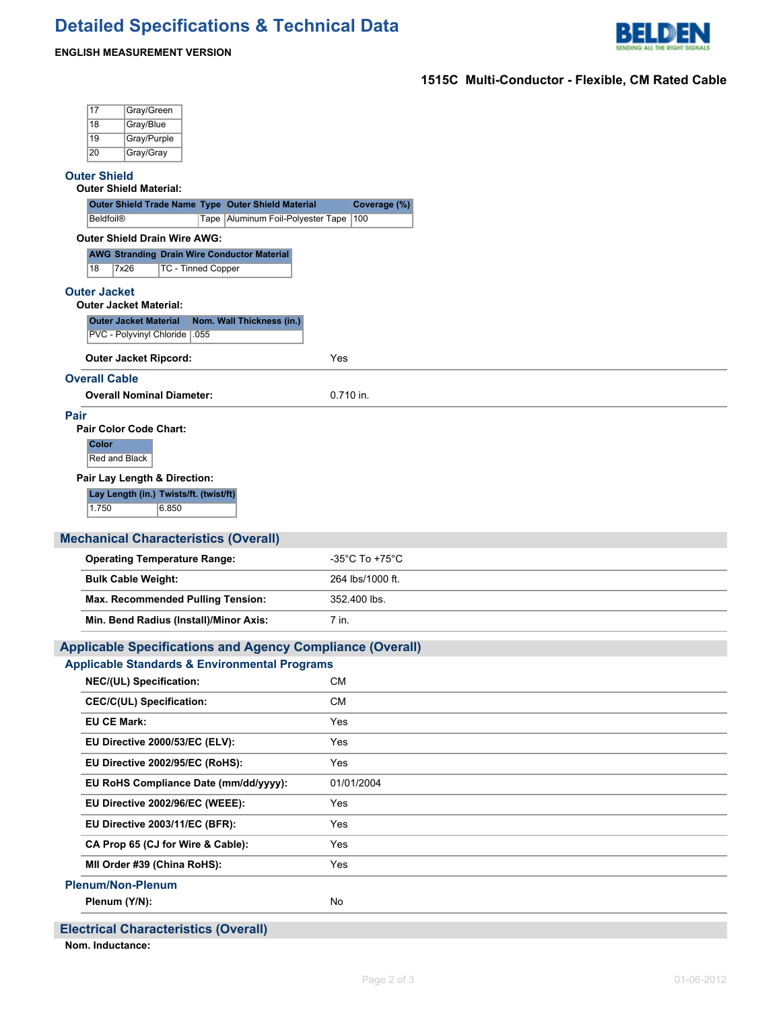# **Detailed Specifications & Technical Data**



### **ENGLISH MEASUREMENT VERSION**

## **1515C Multi-Conductor - Flexible, CM Rated Cable**

| 17<br>Gray/Green                                                                                            |                                     |  |  |  |  |  |  |  |
|-------------------------------------------------------------------------------------------------------------|-------------------------------------|--|--|--|--|--|--|--|
| Gray/Blue<br>18<br>19<br>Gray/Purple                                                                        |                                     |  |  |  |  |  |  |  |
| Gray/Gray<br>20                                                                                             |                                     |  |  |  |  |  |  |  |
| <b>Outer Shield</b>                                                                                         |                                     |  |  |  |  |  |  |  |
| <b>Outer Shield Material:</b>                                                                               |                                     |  |  |  |  |  |  |  |
| Outer Shield Trade Name Type Outer Shield Material<br>Tape Aluminum Foil-Polyester Tape<br><b>Beldfoil®</b> | Coverage (%)<br>100                 |  |  |  |  |  |  |  |
| <b>Outer Shield Drain Wire AWG:</b>                                                                         |                                     |  |  |  |  |  |  |  |
| <b>AWG Stranding Drain Wire Conductor Material</b>                                                          |                                     |  |  |  |  |  |  |  |
| 18<br>7x26<br><b>TC - Tinned Copper</b>                                                                     |                                     |  |  |  |  |  |  |  |
| <b>Outer Jacket</b><br><b>Outer Jacket Material:</b>                                                        |                                     |  |  |  |  |  |  |  |
| <b>Outer Jacket Material</b><br>Nom. Wall Thickness (in.)                                                   |                                     |  |  |  |  |  |  |  |
| PVC - Polyvinyl Chloride   .055                                                                             |                                     |  |  |  |  |  |  |  |
| <b>Outer Jacket Ripcord:</b>                                                                                | Yes                                 |  |  |  |  |  |  |  |
| <b>Overall Cable</b>                                                                                        |                                     |  |  |  |  |  |  |  |
| <b>Overall Nominal Diameter:</b>                                                                            | 0.710 in.                           |  |  |  |  |  |  |  |
| Pair<br><b>Pair Color Code Chart:</b>                                                                       |                                     |  |  |  |  |  |  |  |
| <b>Color</b>                                                                                                |                                     |  |  |  |  |  |  |  |
| Red and Black                                                                                               |                                     |  |  |  |  |  |  |  |
| Pair Lay Length & Direction:                                                                                |                                     |  |  |  |  |  |  |  |
| Lay Length (in.) Twists/ft. (twist/ft)<br>1.750<br>6.850                                                    |                                     |  |  |  |  |  |  |  |
|                                                                                                             |                                     |  |  |  |  |  |  |  |
|                                                                                                             |                                     |  |  |  |  |  |  |  |
| <b>Mechanical Characteristics (Overall)</b>                                                                 |                                     |  |  |  |  |  |  |  |
| <b>Operating Temperature Range:</b>                                                                         | $-35^{\circ}$ C To +75 $^{\circ}$ C |  |  |  |  |  |  |  |
| <b>Bulk Cable Weight:</b>                                                                                   | 264 lbs/1000 ft.                    |  |  |  |  |  |  |  |
| Max. Recommended Pulling Tension:                                                                           | 352.400 lbs.                        |  |  |  |  |  |  |  |
| Min. Bend Radius (Install)/Minor Axis:                                                                      | 7 in.                               |  |  |  |  |  |  |  |
| <b>Applicable Specifications and Agency Compliance (Overall)</b>                                            |                                     |  |  |  |  |  |  |  |
| <b>Applicable Standards &amp; Environmental Programs</b>                                                    |                                     |  |  |  |  |  |  |  |
| NEC/(UL) Specification:                                                                                     | <b>CM</b>                           |  |  |  |  |  |  |  |
| <b>CEC/C(UL) Specification:</b><br><b>EU CE Mark:</b>                                                       | <b>CM</b><br>Yes                    |  |  |  |  |  |  |  |
|                                                                                                             |                                     |  |  |  |  |  |  |  |
| EU Directive 2000/53/EC (ELV):<br>EU Directive 2002/95/EC (RoHS):                                           | Yes<br>Yes                          |  |  |  |  |  |  |  |
| EU RoHS Compliance Date (mm/dd/yyyy):                                                                       | 01/01/2004                          |  |  |  |  |  |  |  |
| EU Directive 2002/96/EC (WEEE):                                                                             | Yes                                 |  |  |  |  |  |  |  |
| EU Directive 2003/11/EC (BFR):                                                                              | Yes                                 |  |  |  |  |  |  |  |
| CA Prop 65 (CJ for Wire & Cable):                                                                           | Yes                                 |  |  |  |  |  |  |  |
| MII Order #39 (China RoHS):                                                                                 | Yes                                 |  |  |  |  |  |  |  |
| <b>Plenum/Non-Plenum</b>                                                                                    |                                     |  |  |  |  |  |  |  |
| Plenum (Y/N):                                                                                               | No                                  |  |  |  |  |  |  |  |

**Nom. Inductance:**